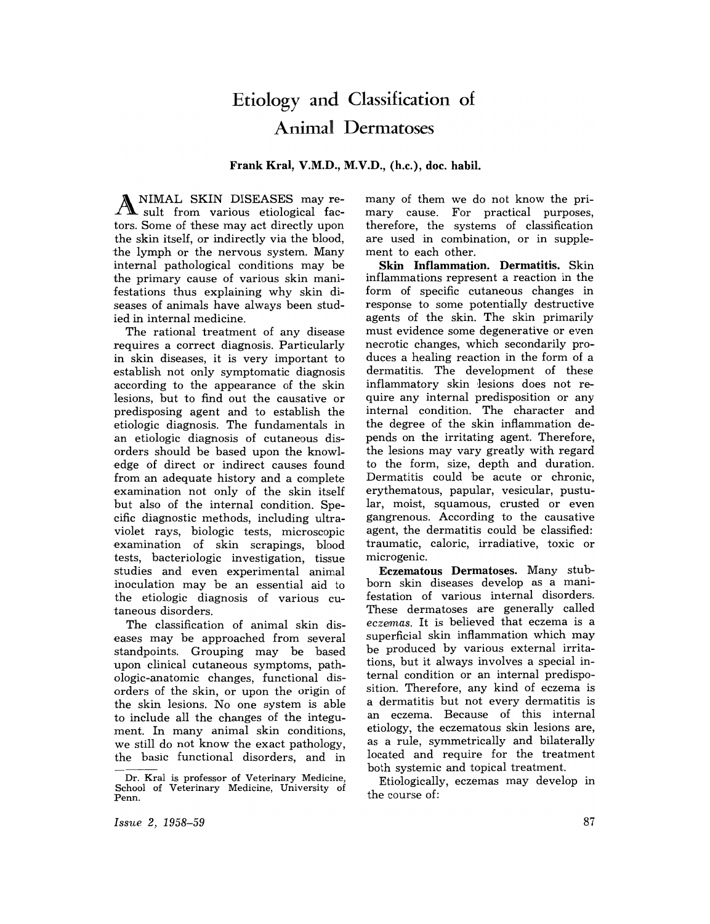# Etiology and Classification of Animal Dermatoses

Frank Kral, V.M.D., M.V.D., (h.c.), doc. habil.

A NIMAL SKIN DISEASES may re-sult from various etiological factors. Some of these may act directly upon the skin itself, or indirectly via the blood, the lymph or the nervous system. Many internal pathological conditions may be the primary cause of various skin manifestations thus explaining why skin diseases of animals have always been studied in internal medicine.

The rational treatment of any disease requires a correct diagnosis. Particularly in skin diseases, it is very important to establish not only symptomatic diagnosis according to the appearance of the skin lesions, but to find out the causative or predisposing agent and to establish the etiologic diagnosis. The fundamentals in an etiologic diagnosis of cutaneous disorders should be based upon the knowledge of direct or indirect causes found from an adequate history and a complete examination not only of the skin itself but also of the internal condition. Specific diagnostic methods, including ultraviolet rays, biologic tests, microscopic examination of skin scrapings, blood tests, bacteriologic investigation, tissue studies and even experimental animal inoculation may be an essential aid to the etiologic diagnosis of various cutaneous disorders.

The classification of animal skin diseases may be approached from several standpoints. Grouping may be based upon clinical cutaneous symptoms, pathologic-anatomic changes, functional disorders of the skin, or upon the origin of the skin lesions. No one system is able to include all the changes of the integument. In many animal skin conditions, we still do not know the exact pathology, the basic functional disorders, and in many of them we do not know the primary cause. For practical purposes, therefore, the systems of classification are used in combination, or in supplement to each other.

Skin Inflammation. Dermatitis. Skin inflammations represent a reaction in the form of specific cutaneous changes in response to some potentially destructive agents of the skin. The skin primarily must evidence some degenerative or even necrotic changes, which secondarily produces a healing reaction in the form of a dermatitis. The development of these inflammatory skin lesions does not require any internal predisposition or any internal condition. The character and the degree of the skin inflammation depends on the irritating agent. Therefore, the lesions may vary greatly with regard to the form, size, depth and duration. Dermatitis could be acute or chronic, erythematous, papular, vesicular, pustular, moist, squamous, crusted or even gangrenous. According to the causative agent, the dermatitis could be classified: traumatic, caloric, irradiative, toxic or microgenic.

Eczematous Dermatoses. Many stubborn skin diseases develop as a manifestation of various internal disorders. These dermatoses are generally called eczemas. It is believed that eczema is a superficial skin inflammation which may be produced by various external irritations, but it always involves a special internal condition or an internal predisposition. Therefore, any kind of eczema is a dermatitis but not every dermatitis is an eczema. Because of this internal etiology, the eczematous skin lesions are, as a rule, symmetrically and bilaterally located and require for the treatment both systemic and topical treatment.

Etiologically, eczemas may develop in the course of:

*Issue* 2, 1958-59

Dr. Kral is professor of Veterinary Medicine, School of Veterinary Medicine, University of Penn.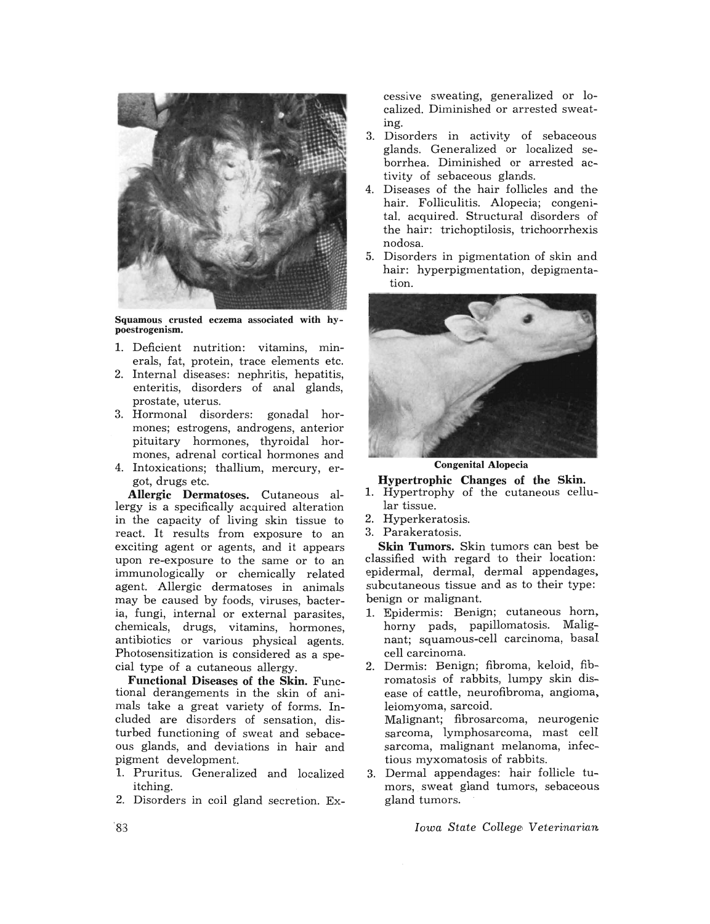

Squamous crusted eczema associated with hypoestrogenism.

- 1. Deficient nutrition: vitamins, minerals, fat, protein, trace elements etc.
- 2. Internal diseases: nephritis, hepatitis, enteritis, disorders of anal glands, prostate, uterus.
- 3. Hormonal disorders: gonadal hormones; estrogens, androgens, anterior pituitary hormones, thyroidal hormones, adrenal cortical hormones and
- 4. Intoxications; thallium, mercury, ergot, drugs etc.

Allergic Dermatoses. Cutaneous allergy is a specifically acquired alteration in the capacity of living skin tissue to react. It results from exposure to an exciting agent or agents, and it appears upon re-exposure to the same or to an immunologically or chemically related agent. Allergic dermatoses in animals may be caused by foods, viruses, bacteria, fungi, internal or external parasites, chemicals, drugs, vitamins, hormones, antibiotics or various physical agents. Photosensitization is considered as a special type of a cutaneous allergy.

Functional Diseases of the Skin. Functional derangements in the skin of animals take a great variety of forms. Included are disorders of sensation, disturbed functioning of sweat and sebaceous glands, and deviations in hair and pigment development.

- 1. Pruritus. Generalized and localized itching.
- 2. Disorders in coil gland secretion. Ex-

cessive sweating, generalized or localized. Diminished or arrested sweating.

- 3. Disorders in activity of sebaceous glands. Generalized or localized seborrhea. Diminished or arrested activity of sebaceous glands.
- 4. Diseases of the hair follicles and the hair. Folliculitis. Alopecia; congenital. acquired. Structural disorders of the hair: trichoptilosis, trichoorrhexis nodosa.
- 5. Disorders in pigmentation of skin and hair: hyperpigmentation, depigmentation.



Congenital Alopecia

Hypertrophic Changes of the Skin.

- 1. Hypertrophy of the cutaneous cellular tissue.
- 2. Hyperkeratosis.
- 3. Parakeratosis.

Skin Tumors. Skin tumors can best be classified with regard to their location: epidermal, dermal, dermal appendages, subcutaneous tissue and as to their type: benign or malignant.

- 1. Epidermis: Benign; cutaneous horn, horny pads, papillomatosis. Malignant; squamous-cell carcinoma, basal cell carcinoma.
- 2. Dermis: Benign; fibroma, keloid, fibromatosis of rabbits, lumpy skin disease of cattle, neurofibroma, angioma, leiomyoma, sarcoid.

Malignant; fibrosarcoma, neurogenic sarcoma, lymphosarcoma, mast cell sarcoma, malignant melanoma, infectious myxomatosis of rabbits.

3. Dermal appendages: hair follicle tumors, sweat gland tumors, sebaceous gland tumors.

*Iowa State College, Veterinarian*